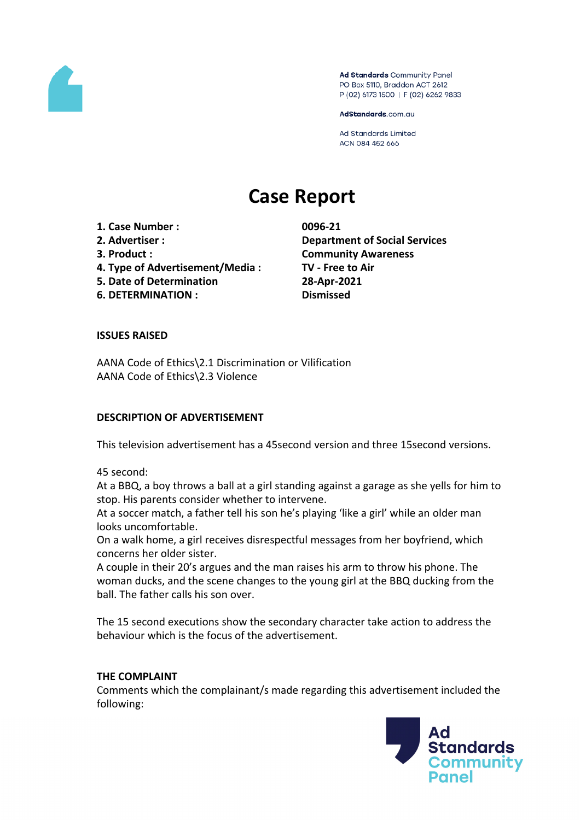

Ad Standards Community Panel PO Box 5110, Braddon ACT 2612 P (02) 6173 1500 | F (02) 6262 9833

AdStandards.com.au

Ad Standards Limited ACN 084 452 666

# **Case Report**

**1. Case Number : 0096-21**

- 
- 
- **4. Type of Advertisement/Media : TV - Free to Air**
- **5. Date of Determination 28-Apr-2021**

**6. DETERMINATION : Dismissed**

**2. Advertiser : Department of Social Services 3. Product : Community Awareness**

# **ISSUES RAISED**

AANA Code of Ethics\2.1 Discrimination or Vilification AANA Code of Ethics\2.3 Violence

# **DESCRIPTION OF ADVERTISEMENT**

This television advertisement has a 45second version and three 15second versions.

45 second:

At a BBQ, a boy throws a ball at a girl standing against a garage as she yells for him to stop. His parents consider whether to intervene.

At a soccer match, a father tell his son he's playing 'like a girl' while an older man looks uncomfortable.

On a walk home, a girl receives disrespectful messages from her boyfriend, which concerns her older sister.

A couple in their 20's argues and the man raises his arm to throw his phone. The woman ducks, and the scene changes to the young girl at the BBQ ducking from the ball. The father calls his son over.

The 15 second executions show the secondary character take action to address the behaviour which is the focus of the advertisement.

#### **THE COMPLAINT**

Comments which the complainant/s made regarding this advertisement included the following:

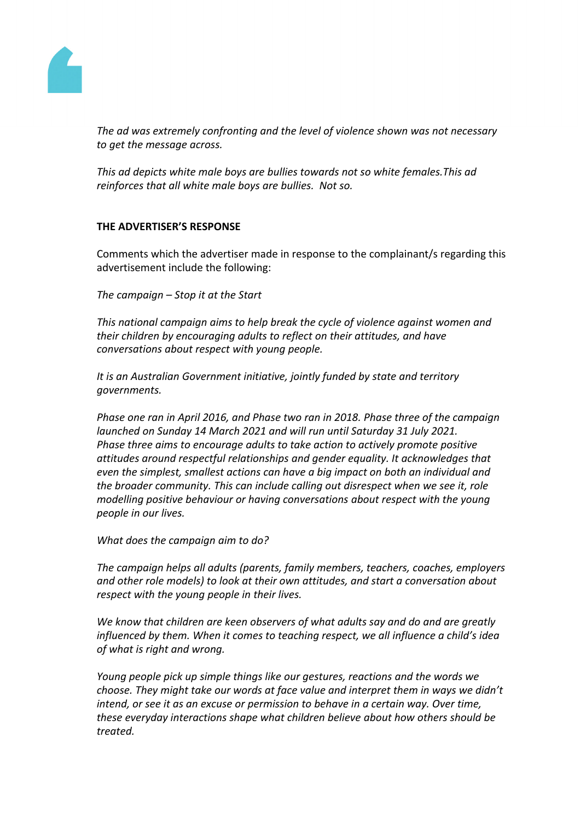

*The ad was extremely confronting and the level of violence shown was not necessary to get the message across.*

*This ad depicts white male boys are bullies towards not so white females.This ad reinforces that all white male boys are bullies. Not so.*

# **THE ADVERTISER'S RESPONSE**

Comments which the advertiser made in response to the complainant/s regarding this advertisement include the following:

*The campaign – Stop it at the Start*

*This national campaign aims to help break the cycle of violence against women and their children by encouraging adults to reflect on their attitudes, and have conversations about respect with young people.*

*It is an Australian Government initiative, jointly funded by state and territory governments.*

*Phase one ran in April 2016, and Phase two ran in 2018. Phase three of the campaign launched on Sunday 14 March 2021 and will run until Saturday 31 July 2021. Phase three aims to encourage adults to take action to actively promote positive attitudes around respectful relationships and gender equality. It acknowledges that even the simplest, smallest actions can have a big impact on both an individual and the broader community. This can include calling out disrespect when we see it, role modelling positive behaviour or having conversations about respect with the young people in our lives.*

*What does the campaign aim to do?*

*The campaign helps all adults (parents, family members, teachers, coaches, employers and other role models) to look at their own attitudes, and start a conversation about respect with the young people in their lives.*

*We know that children are keen observers of what adults say and do and are greatly influenced by them. When it comes to teaching respect, we all influence a child's idea of what is right and wrong.*

*Young people pick up simple things like our gestures, reactions and the words we choose. They might take our words at face value and interpret them in ways we didn't intend, or see it as an excuse or permission to behave in a certain way. Over time, these everyday interactions shape what children believe about how others should be treated.*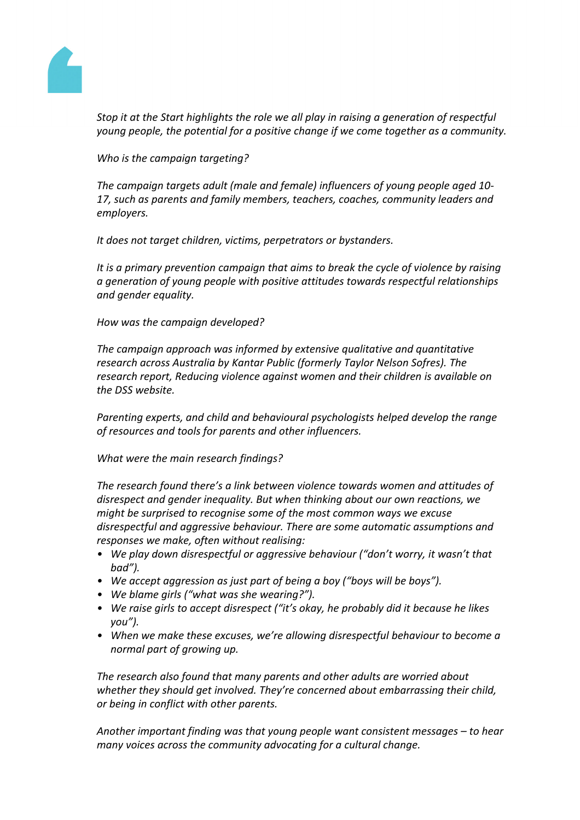

*Stop it at the Start highlights the role we all play in raising a generation of respectful young people, the potential for a positive change if we come together as a community.*

*Who is the campaign targeting?*

*The campaign targets adult (male and female) influencers of young people aged 10- 17, such as parents and family members, teachers, coaches, community leaders and employers.*

*It does not target children, victims, perpetrators or bystanders.*

*It is a primary prevention campaign that aims to break the cycle of violence by raising a generation of young people with positive attitudes towards respectful relationships and gender equality.*

*How was the campaign developed?*

*The campaign approach was informed by extensive qualitative and quantitative research across Australia by Kantar Public (formerly Taylor Nelson Sofres). The research report, Reducing violence against women and their children is available on the DSS website.*

*Parenting experts, and child and behavioural psychologists helped develop the range of resources and tools for parents and other influencers.*

*What were the main research findings?*

*The research found there's a link between violence towards women and attitudes of disrespect and gender inequality. But when thinking about our own reactions, we might be surprised to recognise some of the most common ways we excuse disrespectful and aggressive behaviour. There are some automatic assumptions and responses we make, often without realising:*

- *• We play down disrespectful or aggressive behaviour ("don't worry, it wasn't that bad").*
- *• We accept aggression as just part of being a boy ("boys will be boys").*
- *• We blame girls ("what was she wearing?").*
- *• We raise girls to accept disrespect ("it's okay, he probably did it because he likes you").*
- *• When we make these excuses, we're allowing disrespectful behaviour to become a normal part of growing up.*

*The research also found that many parents and other adults are worried about whether they should get involved. They're concerned about embarrassing their child, or being in conflict with other parents.*

*Another important finding was that young people want consistent messages – to hear many voices across the community advocating for a cultural change.*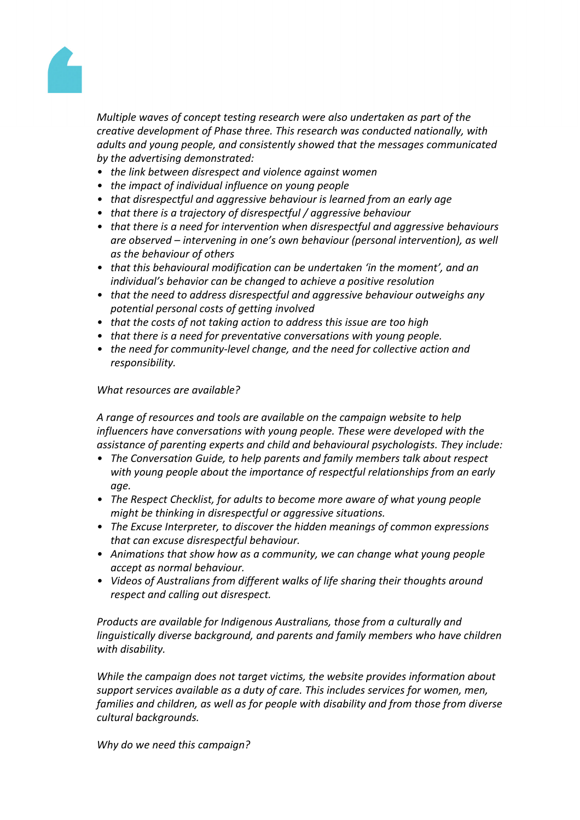

*Multiple waves of concept testing research were also undertaken as part of the creative development of Phase three. This research was conducted nationally, with adults and young people, and consistently showed that the messages communicated by the advertising demonstrated:*

- *• the link between disrespect and violence against women*
- *• the impact of individual influence on young people*
- *• that disrespectful and aggressive behaviour is learned from an early age*
- *• that there is a trajectory of disrespectful / aggressive behaviour*
- *• that there is a need for intervention when disrespectful and aggressive behaviours are observed – intervening in one's own behaviour (personal intervention), as well as the behaviour of others*
- *• that this behavioural modification can be undertaken 'in the moment', and an individual's behavior can be changed to achieve a positive resolution*
- *• that the need to address disrespectful and aggressive behaviour outweighs any potential personal costs of getting involved*
- *• that the costs of not taking action to address this issue are too high*
- *• that there is a need for preventative conversations with young people.*
- *• the need for community-level change, and the need for collective action and responsibility.*

#### *What resources are available?*

*A range of resources and tools are available on the campaign website to help influencers have conversations with young people. These were developed with the assistance of parenting experts and child and behavioural psychologists. They include:*

- *• The Conversation Guide, to help parents and family members talk about respect with young people about the importance of respectful relationships from an early age.*
- *• The Respect Checklist, for adults to become more aware of what young people might be thinking in disrespectful or aggressive situations.*
- *• The Excuse Interpreter, to discover the hidden meanings of common expressions that can excuse disrespectful behaviour.*
- *• Animations that show how as a community, we can change what young people accept as normal behaviour.*
- *• Videos of Australians from different walks of life sharing their thoughts around respect and calling out disrespect.*

*Products are available for Indigenous Australians, those from a culturally and linguistically diverse background, and parents and family members who have children with disability.*

*While the campaign does not target victims, the website provides information about support services available as a duty of care. This includes services for women, men, families and children, as well as for people with disability and from those from diverse cultural backgrounds.*

*Why do we need this campaign?*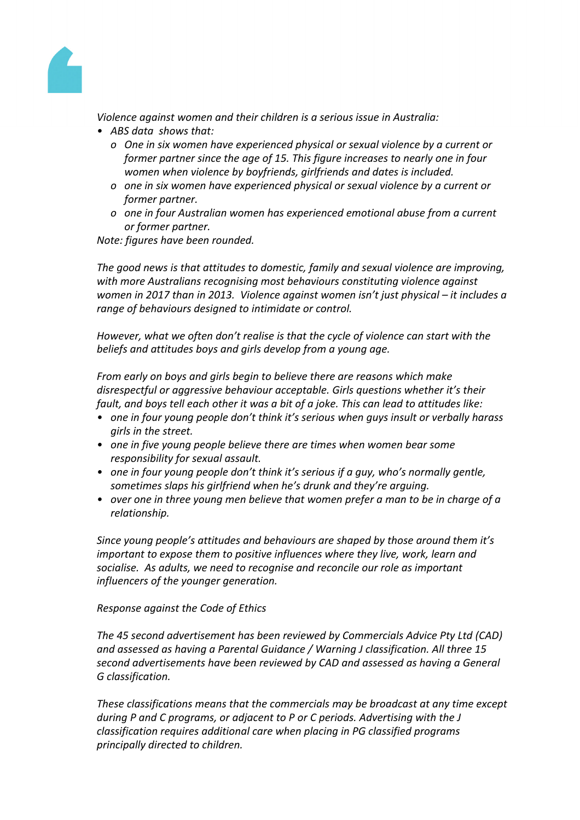

*Violence against women and their children is a serious issue in Australia:*

- *• ABS data shows that:*
	- *o One in six women have experienced physical or sexual violence by a current or former partner since the age of 15. This figure increases to nearly one in four women when violence by boyfriends, girlfriends and dates is included.*
	- *o one in six women have experienced physical or sexual violence by a current or former partner.*
	- *o one in four Australian women has experienced emotional abuse from a current or former partner.*

*Note: figures have been rounded.*

*The good news is that attitudes to domestic, family and sexual violence are improving, with more Australians recognising most behaviours constituting violence against women in 2017 than in 2013. Violence against women isn't just physical – it includes a range of behaviours designed to intimidate or control.*

*However, what we often don't realise is that the cycle of violence can start with the beliefs and attitudes boys and girls develop from a young age.*

*From early on boys and girls begin to believe there are reasons which make disrespectful or aggressive behaviour acceptable. Girls questions whether it's their fault, and boys tell each other it was a bit of a joke. This can lead to attitudes like:*

- *• one in four young people don't think it's serious when guys insult or verbally harass girls in the street.*
- *• one in five young people believe there are times when women bear some responsibility for sexual assault.*
- *• one in four young people don't think it's serious if a guy, who's normally gentle, sometimes slaps his girlfriend when he's drunk and they're arguing.*
- *• over one in three young men believe that women prefer a man to be in charge of a relationship.*

*Since young people's attitudes and behaviours are shaped by those around them it's important to expose them to positive influences where they live, work, learn and socialise. As adults, we need to recognise and reconcile our role as important influencers of the younger generation.*

*Response against the Code of Ethics*

*The 45 second advertisement has been reviewed by Commercials Advice Pty Ltd (CAD) and assessed as having a Parental Guidance / Warning J classification. All three 15 second advertisements have been reviewed by CAD and assessed as having a General G classification.*

*These classifications means that the commercials may be broadcast at any time except during P and C programs, or adjacent to P or C periods. Advertising with the J classification requires additional care when placing in PG classified programs principally directed to children.*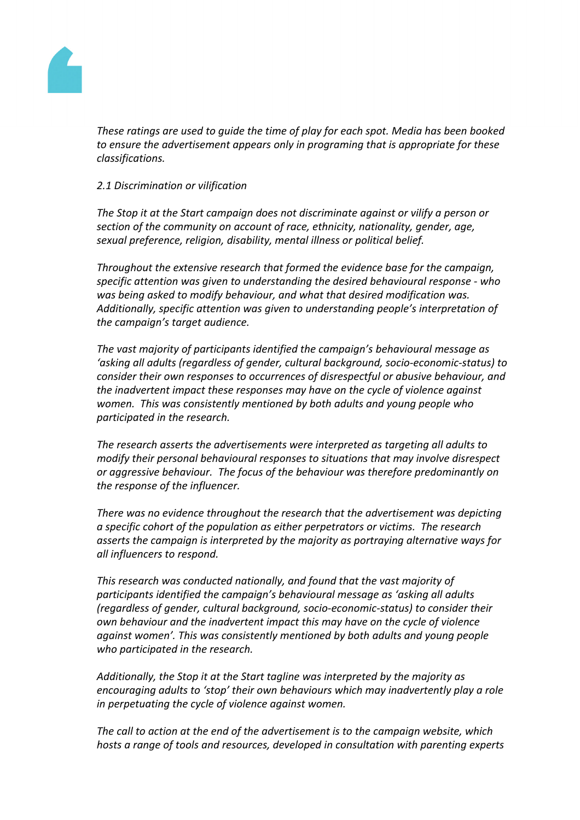

*These ratings are used to guide the time of play for each spot. Media has been booked to ensure the advertisement appears only in programing that is appropriate for these classifications.*

#### *2.1 Discrimination or vilification*

*The Stop it at the Start campaign does not discriminate against or vilify a person or section of the community on account of race, ethnicity, nationality, gender, age, sexual preference, religion, disability, mental illness or political belief.*

*Throughout the extensive research that formed the evidence base for the campaign, specific attention was given to understanding the desired behavioural response - who was being asked to modify behaviour, and what that desired modification was. Additionally, specific attention was given to understanding people's interpretation of the campaign's target audience.*

*The vast majority of participants identified the campaign's behavioural message as 'asking all adults (regardless of gender, cultural background, socio-economic-status) to consider their own responses to occurrences of disrespectful or abusive behaviour, and the inadvertent impact these responses may have on the cycle of violence against women. This was consistently mentioned by both adults and young people who participated in the research.*

*The research asserts the advertisements were interpreted as targeting all adults to modify their personal behavioural responses to situations that may involve disrespect or aggressive behaviour. The focus of the behaviour was therefore predominantly on the response of the influencer.* 

*There was no evidence throughout the research that the advertisement was depicting a specific cohort of the population as either perpetrators or victims. The research asserts the campaign is interpreted by the majority as portraying alternative ways for all influencers to respond.*

*This research was conducted nationally, and found that the vast majority of participants identified the campaign's behavioural message as 'asking all adults (regardless of gender, cultural background, socio-economic-status) to consider their own behaviour and the inadvertent impact this may have on the cycle of violence against women'. This was consistently mentioned by both adults and young people who participated in the research.* 

*Additionally, the Stop it at the Start tagline was interpreted by the majority as encouraging adults to 'stop' their own behaviours which may inadvertently play a role in perpetuating the cycle of violence against women.*

*The call to action at the end of the advertisement is to the campaign website, which hosts a range of tools and resources, developed in consultation with parenting experts*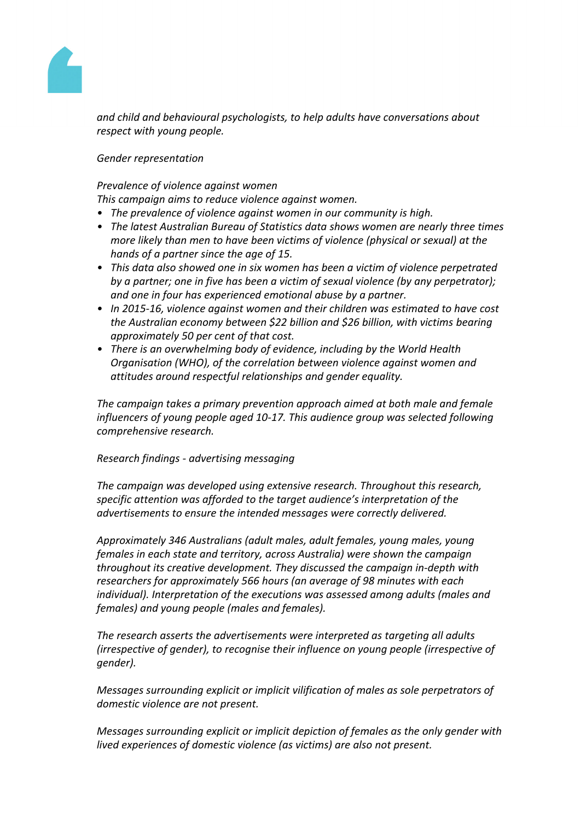

*and child and behavioural psychologists, to help adults have conversations about respect with young people.*

*Gender representation*

*Prevalence of violence against women*

*This campaign aims to reduce violence against women.*

- *• The prevalence of violence against women in our community is high.*
- *• The latest Australian Bureau of Statistics data shows women are nearly three times more likely than men to have been victims of violence (physical or sexual) at the hands of a partner since the age of 15.*
- *• This data also showed one in six women has been a victim of violence perpetrated by a partner; one in five has been a victim of sexual violence (by any perpetrator); and one in four has experienced emotional abuse by a partner.*
- *• In 2015-16, violence against women and their children was estimated to have cost the Australian economy between \$22 billion and \$26 billion, with victims bearing approximately 50 per cent of that cost.*
- *• There is an overwhelming body of evidence, including by the World Health Organisation (WHO), of the correlation between violence against women and attitudes around respectful relationships and gender equality.*

*The campaign takes a primary prevention approach aimed at both male and female influencers of young people aged 10-17. This audience group was selected following comprehensive research.*

#### *Research findings - advertising messaging*

*The campaign was developed using extensive research. Throughout this research, specific attention was afforded to the target audience's interpretation of the advertisements to ensure the intended messages were correctly delivered.* 

*Approximately 346 Australians (adult males, adult females, young males, young females in each state and territory, across Australia) were shown the campaign throughout its creative development. They discussed the campaign in-depth with researchers for approximately 566 hours (an average of 98 minutes with each individual). Interpretation of the executions was assessed among adults (males and females) and young people (males and females).* 

*The research asserts the advertisements were interpreted as targeting all adults (irrespective of gender), to recognise their influence on young people (irrespective of gender).* 

*Messages surrounding explicit or implicit vilification of males as sole perpetrators of domestic violence are not present.*

*Messages surrounding explicit or implicit depiction of females as the only gender with lived experiences of domestic violence (as victims) are also not present.*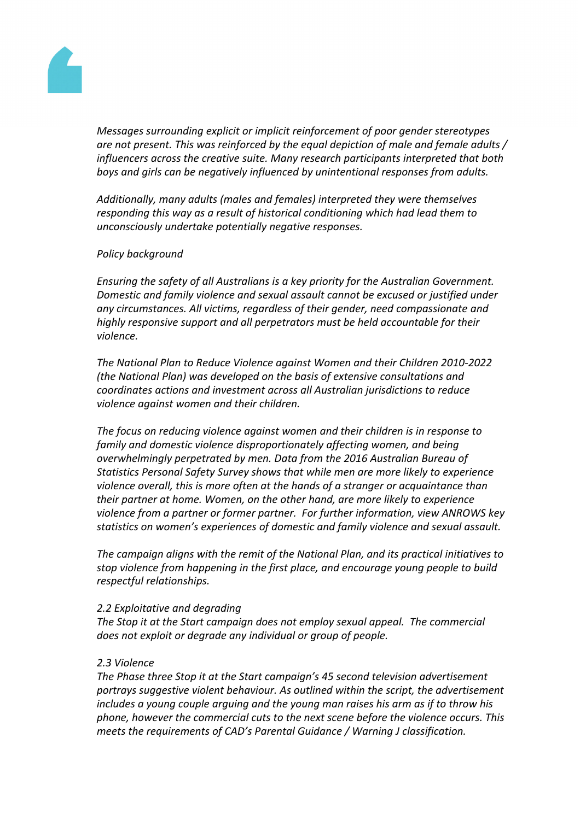

*Messages surrounding explicit or implicit reinforcement of poor gender stereotypes are not present. This was reinforced by the equal depiction of male and female adults / influencers across the creative suite. Many research participants interpreted that both boys and girls can be negatively influenced by unintentional responses from adults.*

*Additionally, many adults (males and females) interpreted they were themselves responding this way as a result of historical conditioning which had lead them to unconsciously undertake potentially negative responses.* 

#### *Policy background*

*Ensuring the safety of all Australians is a key priority for the Australian Government. Domestic and family violence and sexual assault cannot be excused or justified under any circumstances. All victims, regardless of their gender, need compassionate and highly responsive support and all perpetrators must be held accountable for their violence.*

*The National Plan to Reduce Violence against Women and their Children 2010-2022 (the National Plan) was developed on the basis of extensive consultations and coordinates actions and investment across all Australian jurisdictions to reduce violence against women and their children.*

*The focus on reducing violence against women and their children is in response to family and domestic violence disproportionately affecting women, and being overwhelmingly perpetrated by men. Data from the 2016 Australian Bureau of Statistics Personal Safety Survey shows that while men are more likely to experience violence overall, this is more often at the hands of a stranger or acquaintance than their partner at home. Women, on the other hand, are more likely to experience violence from a partner or former partner. For further information, view ANROWS key statistics on women's experiences of domestic and family violence and sexual assault.*

*The campaign aligns with the remit of the National Plan, and its practical initiatives to stop violence from happening in the first place, and encourage young people to build respectful relationships.*

#### *2.2 Exploitative and degrading*

*The Stop it at the Start campaign does not employ sexual appeal. The commercial does not exploit or degrade any individual or group of people.*

#### *2.3 Violence*

*The Phase three Stop it at the Start campaign's 45 second television advertisement portrays suggestive violent behaviour. As outlined within the script, the advertisement includes a young couple arguing and the young man raises his arm as if to throw his phone, however the commercial cuts to the next scene before the violence occurs. This meets the requirements of CAD's Parental Guidance / Warning J classification.*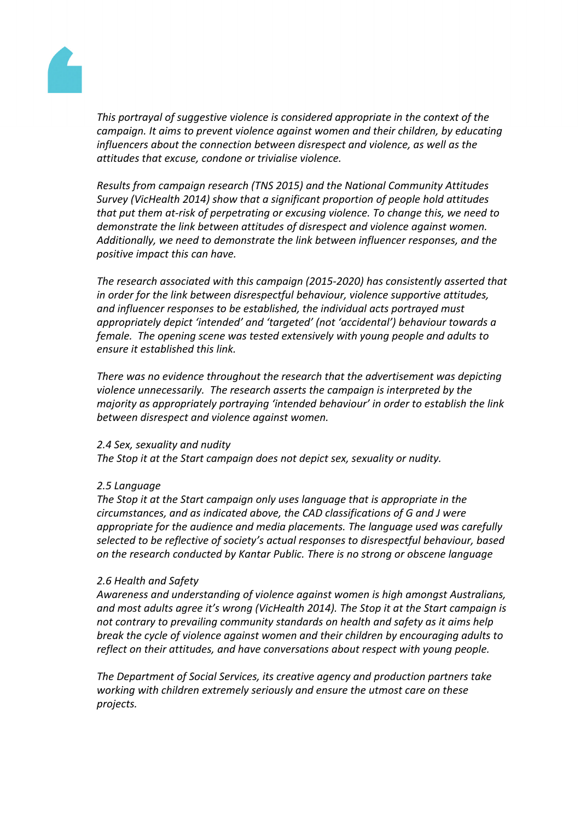

*This portrayal of suggestive violence is considered appropriate in the context of the campaign. It aims to prevent violence against women and their children, by educating influencers about the connection between disrespect and violence, as well as the attitudes that excuse, condone or trivialise violence.*

*Results from campaign research (TNS 2015) and the National Community Attitudes Survey (VicHealth 2014) show that a significant proportion of people hold attitudes that put them at-risk of perpetrating or excusing violence. To change this, we need to demonstrate the link between attitudes of disrespect and violence against women. Additionally, we need to demonstrate the link between influencer responses, and the positive impact this can have.* 

*The research associated with this campaign (2015-2020) has consistently asserted that in order for the link between disrespectful behaviour, violence supportive attitudes, and influencer responses to be established, the individual acts portrayed must appropriately depict 'intended' and 'targeted' (not 'accidental') behaviour towards a female. The opening scene was tested extensively with young people and adults to ensure it established this link.* 

*There was no evidence throughout the research that the advertisement was depicting violence unnecessarily. The research asserts the campaign is interpreted by the majority as appropriately portraying 'intended behaviour' in order to establish the link between disrespect and violence against women.*

#### *2.4 Sex, sexuality and nudity*

*The Stop it at the Start campaign does not depict sex, sexuality or nudity.*

#### *2.5 Language*

*The Stop it at the Start campaign only uses language that is appropriate in the circumstances, and as indicated above, the CAD classifications of G and J were appropriate for the audience and media placements. The language used was carefully selected to be reflective of society's actual responses to disrespectful behaviour, based on the research conducted by Kantar Public. There is no strong or obscene language*

#### *2.6 Health and Safety*

*Awareness and understanding of violence against women is high amongst Australians, and most adults agree it's wrong (VicHealth 2014). The Stop it at the Start campaign is not contrary to prevailing community standards on health and safety as it aims help break the cycle of violence against women and their children by encouraging adults to reflect on their attitudes, and have conversations about respect with young people.*

*The Department of Social Services, its creative agency and production partners take working with children extremely seriously and ensure the utmost care on these projects.*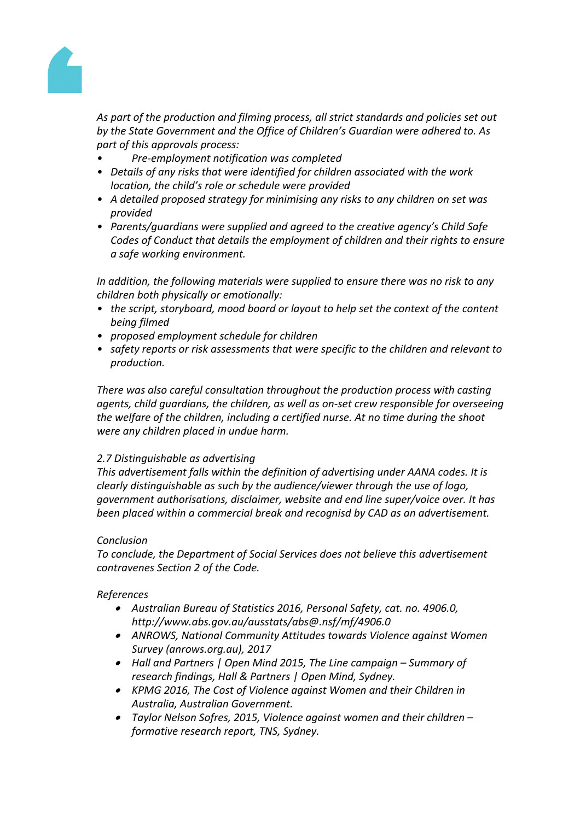

*As part of the production and filming process, all strict standards and policies set out by the State Government and the Office of Children's Guardian were adhered to. As part of this approvals process:*

- *• Pre-employment notification was completed*
- *• Details of any risks that were identified for children associated with the work location, the child's role or schedule were provided*
- *• A detailed proposed strategy for minimising any risks to any children on set was provided*
- *• Parents/guardians were supplied and agreed to the creative agency's Child Safe Codes of Conduct that details the employment of children and their rights to ensure a safe working environment.*

*In addition, the following materials were supplied to ensure there was no risk to any children both physically or emotionally:*

- *• the script, storyboard, mood board or layout to help set the context of the content being filmed*
- *• proposed employment schedule for children*
- *• safety reports or risk assessments that were specific to the children and relevant to production.*

*There was also careful consultation throughout the production process with casting agents, child guardians, the children, as well as on-set crew responsible for overseeing the welfare of the children, including a certified nurse. At no time during the shoot were any children placed in undue harm.*

#### *2.7 Distinguishable as advertising*

*This advertisement falls within the definition of advertising under AANA codes. It is clearly distinguishable as such by the audience/viewer through the use of logo, government authorisations, disclaimer, website and end line super/voice over. It has been placed within a commercial break and recognisd by CAD as an advertisement.*

#### *Conclusion*

*To conclude, the Department of Social Services does not believe this advertisement contravenes Section 2 of the Code.*

#### *References*

- *Australian Bureau of Statistics 2016, Personal Safety, cat. no. 4906.0, http://www.abs.gov.au/ausstats/abs@.nsf/mf/4906.0*
- *ANROWS, National Community Attitudes towards Violence against Women Survey (anrows.org.au), 2017*
- *Hall and Partners | Open Mind 2015, The Line campaign – Summary of research findings, Hall & Partners | Open Mind, Sydney.*
- *KPMG 2016, The Cost of Violence against Women and their Children in Australia, Australian Government.*
- *Taylor Nelson Sofres, 2015, Violence against women and their children – formative research report, TNS, Sydney.*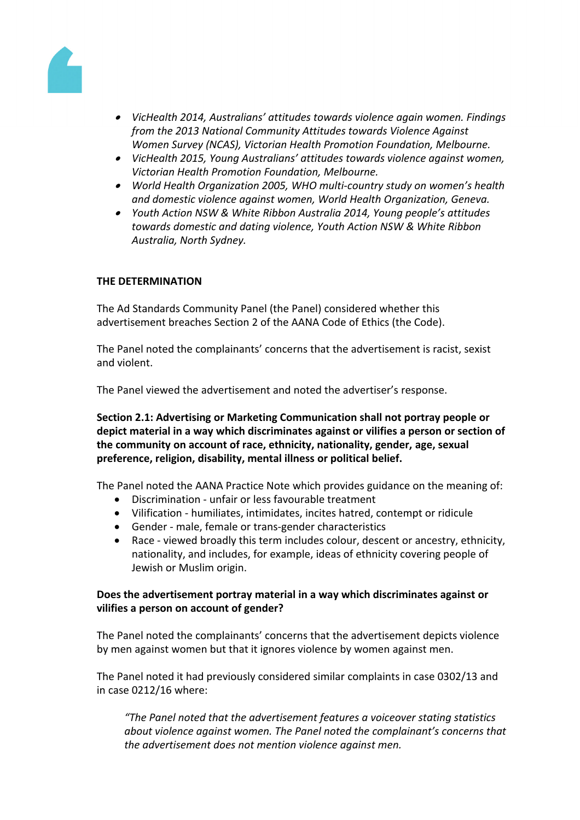

- *VicHealth 2014, Australians' attitudes towards violence again women. Findings from the 2013 National Community Attitudes towards Violence Against Women Survey (NCAS), Victorian Health Promotion Foundation, Melbourne.*
- *VicHealth 2015, Young Australians' attitudes towards violence against women, Victorian Health Promotion Foundation, Melbourne.*
- *World Health Organization 2005, WHO multi-country study on women's health and domestic violence against women, World Health Organization, Geneva.*
- *Youth Action NSW & White Ribbon Australia 2014, Young people's attitudes towards domestic and dating violence, Youth Action NSW & White Ribbon Australia, North Sydney.*

#### **THE DETERMINATION**

The Ad Standards Community Panel (the Panel) considered whether this advertisement breaches Section 2 of the AANA Code of Ethics (the Code).

The Panel noted the complainants' concerns that the advertisement is racist, sexist and violent.

The Panel viewed the advertisement and noted the advertiser's response.

**Section 2.1: Advertising or Marketing Communication shall not portray people or depict material in a way which discriminates against or vilifies a person or section of the community on account of race, ethnicity, nationality, gender, age, sexual preference, religion, disability, mental illness or political belief.**

The Panel noted the AANA Practice Note which provides guidance on the meaning of:

- Discrimination unfair or less favourable treatment
- Vilification humiliates, intimidates, incites hatred, contempt or ridicule
- Gender male, female or trans-gender characteristics
- Race viewed broadly this term includes colour, descent or ancestry, ethnicity, nationality, and includes, for example, ideas of ethnicity covering people of Jewish or Muslim origin.

#### **Does the advertisement portray material in a way which discriminates against or vilifies a person on account of gender?**

The Panel noted the complainants' concerns that the advertisement depicts violence by men against women but that it ignores violence by women against men.

The Panel noted it had previously considered similar complaints in case 0302/13 and in case 0212/16 where:

*"The Panel noted that the advertisement features a voiceover stating statistics about violence against women. The Panel noted the complainant's concerns that the advertisement does not mention violence against men.*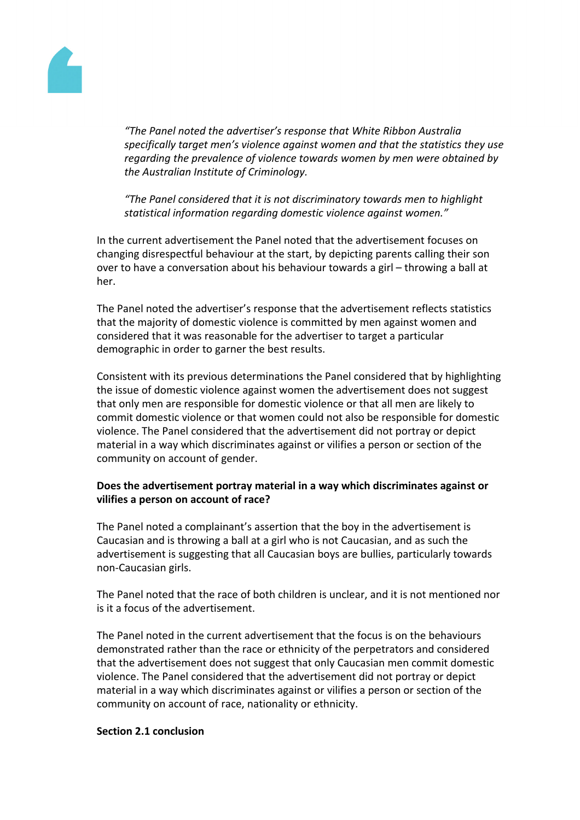

*"The Panel noted the advertiser's response that White Ribbon Australia specifically target men's violence against women and that the statistics they use regarding the prevalence of violence towards women by men were obtained by the Australian Institute of Criminology.*

*"The Panel considered that it is not discriminatory towards men to highlight statistical information regarding domestic violence against women."*

In the current advertisement the Panel noted that the advertisement focuses on changing disrespectful behaviour at the start, by depicting parents calling their son over to have a conversation about his behaviour towards a girl – throwing a ball at her.

The Panel noted the advertiser's response that the advertisement reflects statistics that the majority of domestic violence is committed by men against women and considered that it was reasonable for the advertiser to target a particular demographic in order to garner the best results.

Consistent with its previous determinations the Panel considered that by highlighting the issue of domestic violence against women the advertisement does not suggest that only men are responsible for domestic violence or that all men are likely to commit domestic violence or that women could not also be responsible for domestic violence. The Panel considered that the advertisement did not portray or depict material in a way which discriminates against or vilifies a person or section of the community on account of gender.

# **Does the advertisement portray material in a way which discriminates against or vilifies a person on account of race?**

The Panel noted a complainant's assertion that the boy in the advertisement is Caucasian and is throwing a ball at a girl who is not Caucasian, and as such the advertisement is suggesting that all Caucasian boys are bullies, particularly towards non-Caucasian girls.

The Panel noted that the race of both children is unclear, and it is not mentioned nor is it a focus of the advertisement.

The Panel noted in the current advertisement that the focus is on the behaviours demonstrated rather than the race or ethnicity of the perpetrators and considered that the advertisement does not suggest that only Caucasian men commit domestic violence. The Panel considered that the advertisement did not portray or depict material in a way which discriminates against or vilifies a person or section of the community on account of race, nationality or ethnicity.

#### **Section 2.1 conclusion**